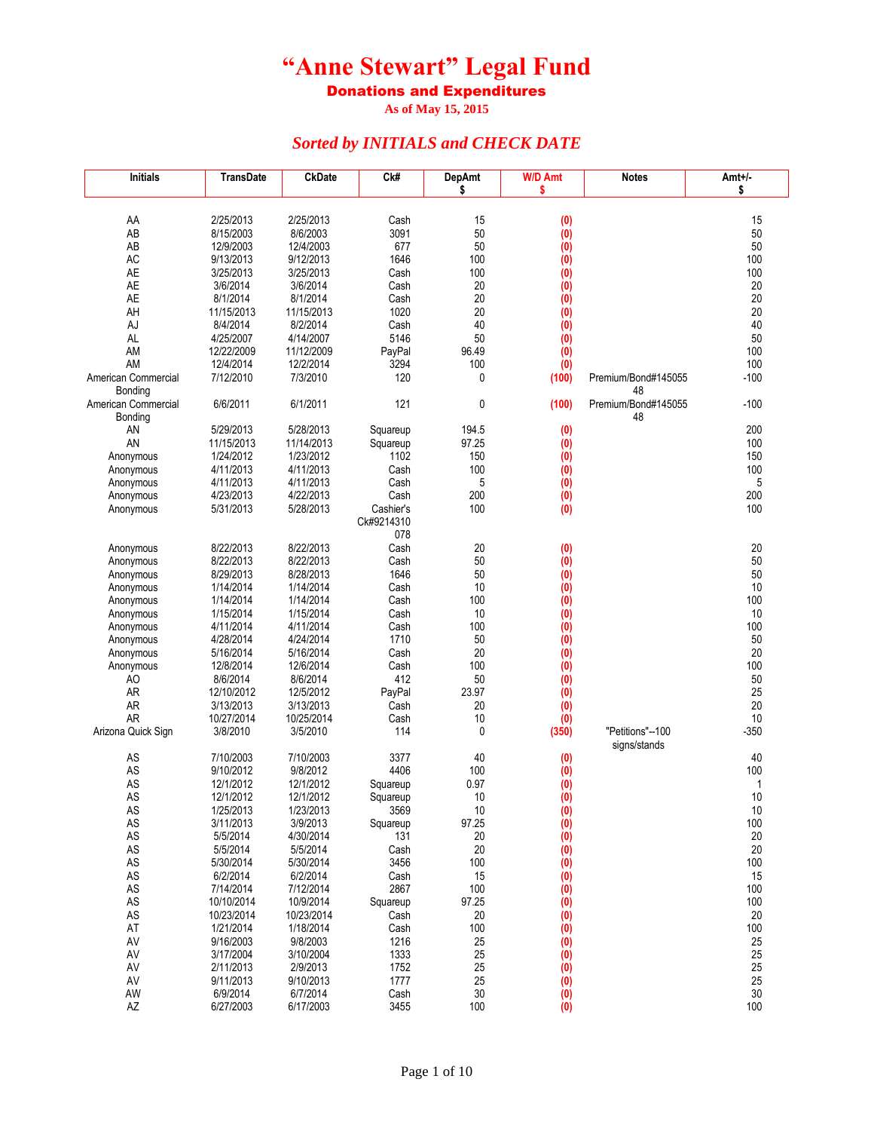Donations and Expenditures

**As of May 15, 2015**

| <b>Initials</b>                 | <b>TransDate</b>        | <b>CkDate</b>          | Ck#          | <b>DepAmt</b> | <b>W/D Amt</b>    | <b>Notes</b>              | Amt+/-       |
|---------------------------------|-------------------------|------------------------|--------------|---------------|-------------------|---------------------------|--------------|
|                                 |                         |                        |              | \$            | \$                |                           | \$           |
|                                 |                         |                        |              |               |                   |                           |              |
| AA<br>AB                        | 2/25/2013               | 2/25/2013<br>8/6/2003  | Cash<br>3091 | 15<br>50      | (0)               |                           | 15<br>50     |
| AB                              | 8/15/2003<br>12/9/2003  | 12/4/2003              | 677          | 50            | (0)<br>(0)        |                           | 50           |
| AC                              | 9/13/2013               | 9/12/2013              | 1646         | 100           | (0)               |                           | 100          |
| AE                              | 3/25/2013               | 3/25/2013              | Cash         | 100           | (0)               |                           | 100          |
| AE                              | 3/6/2014                | 3/6/2014               | Cash         | 20            | (0)               |                           | 20           |
| AE                              | 8/1/2014                | 8/1/2014               | Cash         | 20            | (0)               |                           | 20           |
| AH                              | 11/15/2013              | 11/15/2013             | 1020         | 20            | (0)               |                           | 20           |
| AJ                              | 8/4/2014                | 8/2/2014               | Cash         | 40            | (0)               |                           | 40           |
| AL                              | 4/25/2007               | 4/14/2007              | 5146         | 50            | $\dot{0}$         |                           | 50           |
| AM                              | 12/22/2009              | 11/12/2009             | PayPal       | 96.49         | (0)               |                           | 100          |
| AM                              | 12/4/2014               | 12/2/2014              | 3294         | 100           | (0)               |                           | 100          |
| American Commercial             | 7/12/2010               | 7/3/2010               | 120          | 0             | (100)             | Premium/Bond#145055<br>48 | $-100$       |
| Bonding<br>American Commercial  | 6/6/2011                | 6/1/2011               | 121          | $\mathbf 0$   | (100)             | Premium/Bond#145055       | $-100$       |
| Bonding                         |                         |                        |              |               |                   | 48                        |              |
| AN                              | 5/29/2013               | 5/28/2013              | Squareup     | 194.5         | (0)               |                           | 200          |
| AN                              | 11/15/2013              | 11/14/2013             | Squareup     | 97.25         | (0)               |                           | 100          |
| Anonymous                       | 1/24/2012               | 1/23/2012              | 1102         | 150           | (0)               |                           | 150          |
| Anonymous                       | 4/11/2013               | 4/11/2013              | Cash         | 100           | (0)               |                           | 100          |
| Anonymous                       | 4/11/2013               | 4/11/2013              | Cash         | 5             | (0)               |                           | 5            |
| Anonymous                       | 4/23/2013               | 4/22/2013              | Cash         | 200           | (0)               |                           | 200          |
| Anonymous                       | 5/31/2013               | 5/28/2013              | Cashier's    | 100           | (0)               |                           | 100          |
|                                 |                         |                        | Ck#9214310   |               |                   |                           |              |
|                                 |                         |                        | 078          |               |                   |                           |              |
| Anonymous                       | 8/22/2013<br>8/22/2013  | 8/22/2013<br>8/22/2013 | Cash         | 20<br>50      | (0)               |                           | 20<br>50     |
| Anonymous<br>Anonymous          | 8/29/2013               | 8/28/2013              | Cash<br>1646 | 50            | $\dot{1}$<br>(0)  |                           | 50           |
| Anonymous                       | 1/14/2014               | 1/14/2014              | Cash         | 10            | (0)               |                           | 10           |
| Anonymous                       | 1/14/2014               | 1/14/2014              | Cash         | 100           | (0)               |                           | 100          |
| Anonymous                       | 1/15/2014               | 1/15/2014              | Cash         | 10            | (0)               |                           | 10           |
| Anonymous                       | 4/11/2014               | 4/11/2014              | Cash         | 100           | (0)               |                           | 100          |
| Anonymous                       | 4/28/2014               | 4/24/2014              | 1710         | 50            | (0)               |                           | 50           |
| Anonymous                       | 5/16/2014               | 5/16/2014              | Cash         | 20            | (0)               |                           | 20           |
| Anonymous                       | 12/8/2014               | 12/6/2014              | Cash         | 100           | (0)               |                           | 100          |
| AO                              | 8/6/2014                | 8/6/2014               | 412          | 50            | (0)               |                           | 50           |
| <b>AR</b>                       | 12/10/2012              | 12/5/2012              | PayPal       | 23.97         | (0)               |                           | 25           |
| <b>AR</b>                       | 3/13/2013               | 3/13/2013              | Cash         | 20            | (0)               |                           | 20           |
| <b>AR</b><br>Arizona Quick Sign | 10/27/2014<br>3/8/2010  | 10/25/2014<br>3/5/2010 | Cash<br>114  | 10<br>0       | (0)<br>(350)      | "Petitions"--100          | 10<br>$-350$ |
|                                 |                         |                        |              |               |                   | signs/stands              |              |
| AS                              | 7/10/2003               | 7/10/2003              | 3377         | 40            | (0)               |                           | 40           |
| AS                              | 9/10/2012               | 9/8/2012               | 4406         | 100           | (0)               |                           | 100          |
| AS                              | 12/1/2012               | 12/1/2012              | Squareup     | 0.97          | (0)               |                           | $\mathbf{1}$ |
| AS                              | 12/1/2012               | 12/1/2012              | Squareup     | 10            | (0)               |                           | 10           |
| AS                              | 1/25/2013               | 1/23/2013              | 3569         | 10            | $\left( 0\right)$ |                           | 10           |
| AS                              | 3/11/2013               | 3/9/2013               | Squareup     | 97.25         | (0)               |                           | 100          |
| $\mathsf{AS}$                   | 5/5/2014                | 4/30/2014              | 131          | 20            | (0)               |                           | $20\,$       |
| $\mathsf{AS}$                   | 5/5/2014                | 5/5/2014               | Cash         | 20            | (0)               |                           | 20           |
| $\mathsf{AS}$                   | 5/30/2014               | 5/30/2014              | 3456         | 100           | (0)               |                           | 100          |
| $\mathsf{AS}$                   | 6/2/2014                | 6/2/2014               | Cash<br>2867 | 15            | (0)               |                           | 15           |
| $\mathsf{AS}$<br>AS             | 7/14/2014<br>10/10/2014 | 7/12/2014<br>10/9/2014 | Squareup     | 100<br>97.25  | (0)<br>(0)        |                           | 100<br>100   |
| $\mathsf{AS}$                   | 10/23/2014              | 10/23/2014             | Cash         | 20            | (0)               |                           | 20           |
| AT                              | 1/21/2014               | 1/18/2014              | Cash         | 100           | (0)               |                           | 100          |
| AV                              | 9/16/2003               | 9/8/2003               | 1216         | 25            | (0)               |                           | 25           |
| AV                              | 3/17/2004               | 3/10/2004              | 1333         | 25            | (0)               |                           | 25           |
| AV                              | 2/11/2013               | 2/9/2013               | 1752         | 25            | (0)               |                           | 25           |
| AV                              | 9/11/2013               | 9/10/2013              | 1777         | 25            | $\overline{(0)}$  |                           | 25           |
| AW                              | 6/9/2014                | 6/7/2014               | Cash         | 30            | (0)               |                           | 30           |
| AZ                              | 6/27/2003               | 6/17/2003              | 3455         | 100           | (0)               |                           | 100          |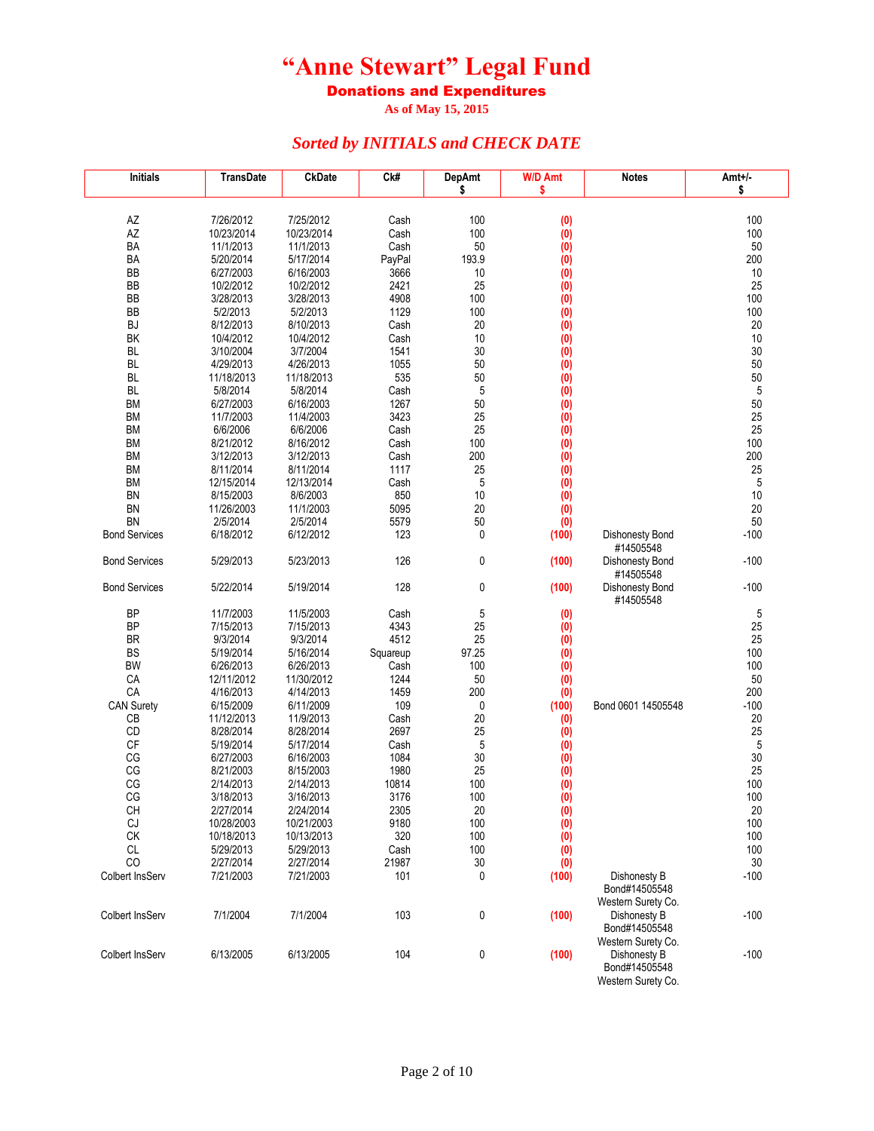Donations and Expenditures

**As of May 15, 2015**

| Initials               | TransDate              | <b>CkDate</b>          | Ck#            | <b>DepAmt</b> | <b>W/D Amt</b> | <b>Notes</b>                                        | Amt+/-     |
|------------------------|------------------------|------------------------|----------------|---------------|----------------|-----------------------------------------------------|------------|
|                        |                        |                        |                | \$            | \$             |                                                     | \$         |
|                        |                        |                        |                |               |                |                                                     |            |
| AZ                     | 7/26/2012              | 7/25/2012              | Cash           | 100           | (0)            |                                                     | 100        |
| AZ<br>BA               | 10/23/2014             | 10/23/2014             | Cash           | 100<br>50     | (0)            |                                                     | 100        |
| BA                     | 11/1/2013<br>5/20/2014 | 11/1/2013<br>5/17/2014 | Cash<br>PayPal | 193.9         | (0)            |                                                     | 50<br>200  |
| BB                     | 6/27/2003              | 6/16/2003              | 3666           | 10            | (0)<br>(0)     |                                                     | 10         |
| BB                     | 10/2/2012              | 10/2/2012              | 2421           | 25            | (0)            |                                                     | 25         |
| BB                     | 3/28/2013              | 3/28/2013              | 4908           | 100           | (0)            |                                                     | 100        |
| BB                     | 5/2/2013               | 5/2/2013               | 1129           | 100           | (0)            |                                                     | 100        |
| BJ                     | 8/12/2013              | 8/10/2013              | Cash           | 20            | (0)            |                                                     | 20         |
| ΒK                     | 10/4/2012              | 10/4/2012              | Cash           | 10            | (0)            |                                                     | 10         |
| <b>BL</b>              | 3/10/2004              | 3/7/2004               | 1541           | 30            | (0)            |                                                     | 30         |
| <b>BL</b>              | 4/29/2013              | 4/26/2013              | 1055           | 50            | (0)            |                                                     | 50         |
| <b>BL</b>              | 11/18/2013             | 11/18/2013             | 535            | 50            | (0)            |                                                     | 50         |
| BL                     | 5/8/2014               | 5/8/2014               | Cash           | 5             | (0)            |                                                     | $\sqrt{5}$ |
| <b>BM</b>              | 6/27/2003              | 6/16/2003              | 1267           | 50            | (0)            |                                                     | 50         |
| <b>BM</b>              | 11/7/2003              | 11/4/2003              | 3423           | 25            | (0)            |                                                     | 25         |
| <b>BM</b>              | 6/6/2006               | 6/6/2006               | Cash           | 25            | (0)            |                                                     | 25         |
| BM                     | 8/21/2012              | 8/16/2012              | Cash           | 100           | (0)            |                                                     | 100        |
| BM                     | 3/12/2013              | 3/12/2013              | Cash           | 200           | (0)            |                                                     | 200        |
| BM                     | 8/11/2014              | 8/11/2014              | 1117           | 25            | (0)            |                                                     | 25         |
| <b>BM</b>              | 12/15/2014             | 12/13/2014             | Cash           | 5             | (0)            |                                                     | 5          |
| BN                     | 8/15/2003              | 8/6/2003               | 850            | 10            | (0)            |                                                     | 10         |
| <b>BN</b>              | 11/26/2003             | 11/1/2003              | 5095           | 20            | (0)            |                                                     | 20         |
| <b>BN</b>              | 2/5/2014               | 2/5/2014               | 5579           | 50            | (0)            |                                                     | 50         |
| <b>Bond Services</b>   | 6/18/2012              | 6/12/2012              | 123            | 0             | (100)          | Dishonesty Bond                                     | $-100$     |
| <b>Bond Services</b>   | 5/29/2013              | 5/23/2013              | 126            | 0             | (100)          | #14505548<br>Dishonesty Bond<br>#14505548           | $-100$     |
| <b>Bond Services</b>   | 5/22/2014              | 5/19/2014              | 128            | 0             | (100)          | Dishonesty Bond<br>#14505548                        | $-100$     |
| <b>BP</b>              | 11/7/2003              | 11/5/2003              | Cash           | 5             | (0)            |                                                     | 5          |
| <b>BP</b>              | 7/15/2013              | 7/15/2013              | 4343           | 25            | (0)            |                                                     | 25         |
| BR                     | 9/3/2014               | 9/3/2014               | 4512           | 25            | (0)            |                                                     | 25         |
| <b>BS</b>              | 5/19/2014              | 5/16/2014              | Squareup       | 97.25         | (0)            |                                                     | 100        |
| BW                     | 6/26/2013              | 6/26/2013              | Cash           | 100           | (0)            |                                                     | 100        |
| CA                     | 12/11/2012             | 11/30/2012             | 1244           | 50            | (0)            |                                                     | 50         |
| CA                     | 4/16/2013              | 4/14/2013              | 1459           | 200           | (0)            |                                                     | 200        |
| <b>CAN Surety</b>      | 6/15/2009              | 6/11/2009              | 109            | 0             | (100)          | Bond 0601 14505548                                  | $-100$     |
| CB                     | 11/12/2013             | 11/9/2013              | Cash           | 20            | (0)            |                                                     | 20         |
| <b>CD</b>              | 8/28/2014              | 8/28/2014              | 2697           | 25            | (0)            |                                                     | 25         |
| CF<br>CG               | 5/19/2014              | 5/17/2014              | Cash<br>1084   | 5             | (0)            |                                                     | 5<br>30    |
| CG                     | 6/27/2003<br>8/21/2003 | 6/16/2003<br>8/15/2003 | 1980           | 30<br>25      | (0)            |                                                     | 25         |
| CG                     | 2/14/2013              | 2/14/2013              | 10814          | 100           | (0)<br>(0)     |                                                     | 100        |
| CG                     | 3/18/2013              | 3/16/2013              | 3176           | 100           | (0)            |                                                     | 100        |
| CН                     | 2/2//2014              | 2/24/2014              | 2305           | 20            | (0)            |                                                     | 20         |
| CJ                     | 10/28/2003             | 10/21/2003             | 9180           | 100           | (0)            |                                                     | 100        |
| CK                     | 10/18/2013             | 10/13/2013             | 320            | 100           | (0)            |                                                     | 100        |
| CL                     | 5/29/2013              | 5/29/2013              | Cash           | 100           | (0)            |                                                     | 100        |
| CO                     | 2/27/2014              | 2/27/2014              | 21987          | 30            | (0)            |                                                     | 30         |
| <b>Colbert InsServ</b> | 7/21/2003              | 7/21/2003              | 101            | 0             | (100)          | Dishonesty B                                        | $-100$     |
|                        |                        |                        |                |               |                | Bond#14505548<br>Western Surety Co.                 |            |
| Colbert InsServ        | 7/1/2004               | 7/1/2004               | 103            | 0             | (100)          | Dishonesty B<br>Bond#14505548                       | $-100$     |
|                        |                        |                        |                |               |                | Western Surety Co.                                  |            |
| Colbert InsServ        | 6/13/2005              | 6/13/2005              | 104            | 0             | (100)          | Dishonesty B<br>Bond#14505548<br>Western Surety Co. | $-100$     |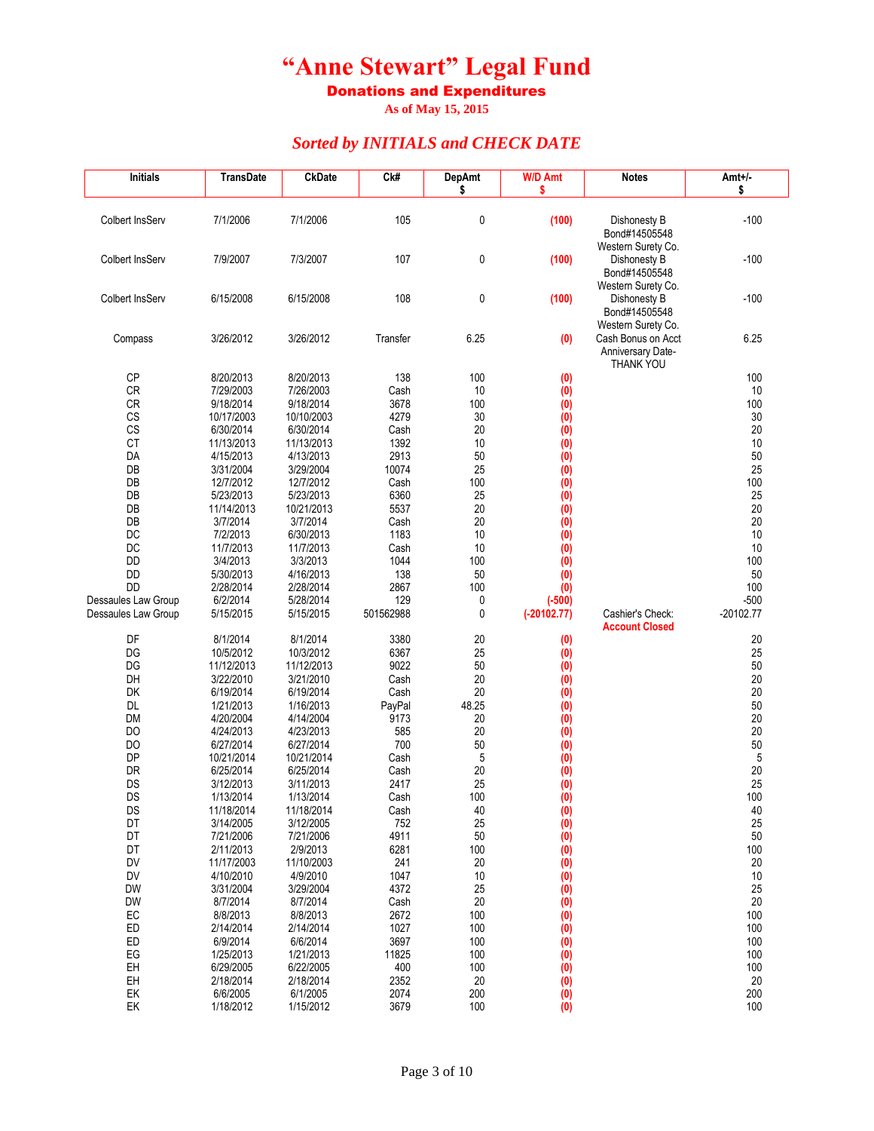Donations and Expenditures

**As of May 15, 2015**

| <b>Initials</b>     | <b>TransDate</b> | <b>CkDate</b> | C <sub>k#</sub> | <b>DepAmt</b> | <b>W/D Amt</b>   | <b>Notes</b>                        | Amt+/-      |
|---------------------|------------------|---------------|-----------------|---------------|------------------|-------------------------------------|-------------|
|                     |                  |               |                 | \$            | \$               |                                     | \$          |
| Colbert InsServ     | 7/1/2006         | 7/1/2006      | 105             | 0             | (100)            | Dishonesty B                        | $-100$      |
|                     |                  |               |                 |               |                  | Bond#14505548                       |             |
|                     |                  |               |                 |               |                  | Western Surety Co.                  |             |
| Colbert InsServ     | 7/9/2007         | 7/3/2007      | 107             | 0             | (100)            | Dishonesty B                        | $-100$      |
|                     |                  |               |                 |               |                  | Bond#14505548<br>Western Surety Co. |             |
| Colbert InsServ     | 6/15/2008        | 6/15/2008     | 108             | 0             | (100)            | Dishonesty B                        | $-100$      |
|                     |                  |               |                 |               |                  | Bond#14505548                       |             |
|                     |                  |               |                 |               |                  | Western Surety Co.                  |             |
| Compass             | 3/26/2012        | 3/26/2012     | Transfer        | 6.25          | (0)              | Cash Bonus on Acct                  | 6.25        |
|                     |                  |               |                 |               |                  | Anniversary Date-<br>THANK YOU      |             |
| СP                  | 8/20/2013        | 8/20/2013     | 138             | 100           | (0)              |                                     | 100         |
| CR                  | 7/29/2003        | 7/26/2003     | Cash            | 10            | (0)              |                                     | 10          |
| <b>CR</b>           | 9/18/2014        | 9/18/2014     | 3678            | 100           | (0)              |                                     | 100         |
| CS                  | 10/17/2003       | 10/10/2003    | 4279            | 30            | (0)              |                                     | 30          |
| CS                  | 6/30/2014        | 6/30/2014     | Cash            | 20            | (0)              |                                     | 20          |
| <b>CT</b>           | 11/13/2013       | 11/13/2013    | 1392            | 10            | (0)              |                                     | 10          |
| DA                  | 4/15/2013        | 4/13/2013     | 2913            | 50            | (0)              |                                     | 50          |
| DB                  | 3/31/2004        | 3/29/2004     | 10074           | 25            | (0)              |                                     | 25          |
| DB                  | 12/7/2012        | 12/7/2012     | Cash            | 100           | (0)              |                                     | 100         |
| DB                  | 5/23/2013        | 5/23/2013     | 6360            | 25            | (0)              |                                     | 25          |
| DB                  | 11/14/2013       | 10/21/2013    | 5537            | 20            | (0)              |                                     | 20          |
| DB                  | 3/7/2014         | 3/7/2014      | Cash            | 20            | (0)              |                                     | 20          |
| DC                  | 7/2/2013         | 6/30/2013     | 1183            | 10            | (0)              |                                     | 10          |
| DC                  | 11/7/2013        | 11/7/2013     | Cash            | 10            | (0)              |                                     | 10          |
| DD                  | 3/4/2013         | 3/3/2013      | 1044            | 100           | (0)              |                                     | 100         |
| DD                  | 5/30/2013        | 4/16/2013     | 138             | 50            | (0)              |                                     | 50          |
| <b>DD</b>           | 2/28/2014        | 2/28/2014     | 2867            | 100           | (0)              |                                     | 100         |
| Dessaules Law Group | 6/2/2014         | 5/28/2014     | 129             | 0             | $(-500)$         |                                     | $-500$      |
| Dessaules Law Group | 5/15/2015        | 5/15/2015     | 501562988       | 0             | $(-20102.77)$    | Cashier's Check:                    | $-20102.77$ |
| DF                  | 8/1/2014         | 8/1/2014      | 3380            | 20            | (0)              | <b>Account Closed</b>               | 20          |
| DG                  | 10/5/2012        | 10/3/2012     | 6367            | 25            | (0)              |                                     | 25          |
| DG                  | 11/12/2013       | 11/12/2013    | 9022            | 50            | (0)              |                                     | 50          |
| DH                  | 3/22/2010        | 3/21/2010     | Cash            | 20            | (0)              |                                     | 20          |
| DK                  | 6/19/2014        | 6/19/2014     | Cash            | 20            | (0)              |                                     | 20          |
| <b>DL</b>           | 1/21/2013        | 1/16/2013     | PayPal          | 48.25         | (0)              |                                     | 50          |
| <b>DM</b>           | 4/20/2004        | 4/14/2004     | 9173            | 20            | (0)              |                                     | 20          |
| DO                  | 4/24/2013        | 4/23/2013     | 585             | 20            | (0)              |                                     | 20          |
| DO                  | 6/27/2014        | 6/27/2014     | 700             | 50            | (0)              |                                     | 50          |
| <b>DP</b>           | 10/21/2014       | 10/21/2014    | Cash            | 5             | (0)              |                                     | $\sqrt{5}$  |
| DR                  | 6/25/2014        | 6/25/2014     | Cash            | 20            | (0)              |                                     | 20          |
| DS                  | 3/12/2013        | 3/11/2013     | 2417            | 25            | (0)              |                                     | 25          |
| DS                  | 1/13/2014        | 1/13/2014     | Cash            | 100           | (0)              |                                     | 100         |
| DS                  | 11/18/2014       | 11/18/2014    | Cash            | 40            | (0)              |                                     | 40          |
| DT                  | 3/14/2005        | 3/12/2005     | 752             | 25            | (0)              |                                     | 25          |
| DT                  | 7/21/2006        | 7/21/2006     | 4911            | 50            | (0)              |                                     | 50          |
| DT                  | 2/11/2013        | 2/9/2013      | 6281            | 100           | $\overline{(0)}$ |                                     | 100         |
| <b>DV</b>           | 11/17/2003       | 11/10/2003    | 241             | 20            | (0)              |                                     | 20          |
| DV                  | 4/10/2010        | 4/9/2010      | 1047            | 10            | (0)              |                                     | 10          |
| <b>DW</b>           | 3/31/2004        | 3/29/2004     | 4372            | 25            | (0)              |                                     | 25          |
| DW                  | 8/7/2014         | 8/7/2014      | Cash            | 20            | (0)              |                                     | 20          |
| EC                  | 8/8/2013         | 8/8/2013      | 2672            | 100           | (0)              |                                     | 100         |
| ED                  | 2/14/2014        | 2/14/2014     | 1027            | 100           | (0)              |                                     | 100         |
| ED                  | 6/9/2014         | 6/6/2014      | 3697            | 100           | (0)              |                                     | 100         |
| EG                  | 1/25/2013        | 1/21/2013     | 11825           | 100           | (0)              |                                     | 100         |
| EH                  | 6/29/2005        | 6/22/2005     | 400             | 100           | (0)              |                                     | 100         |
| EH                  | 2/18/2014        | 2/18/2014     | 2352            | 20            | (0)              |                                     | 20          |
| EK                  | 6/6/2005         | 6/1/2005      | 2074            | 200           | (0)              |                                     | 200         |
| EK                  | 1/18/2012        | 1/15/2012     | 3679            | 100           | (0)              |                                     | 100         |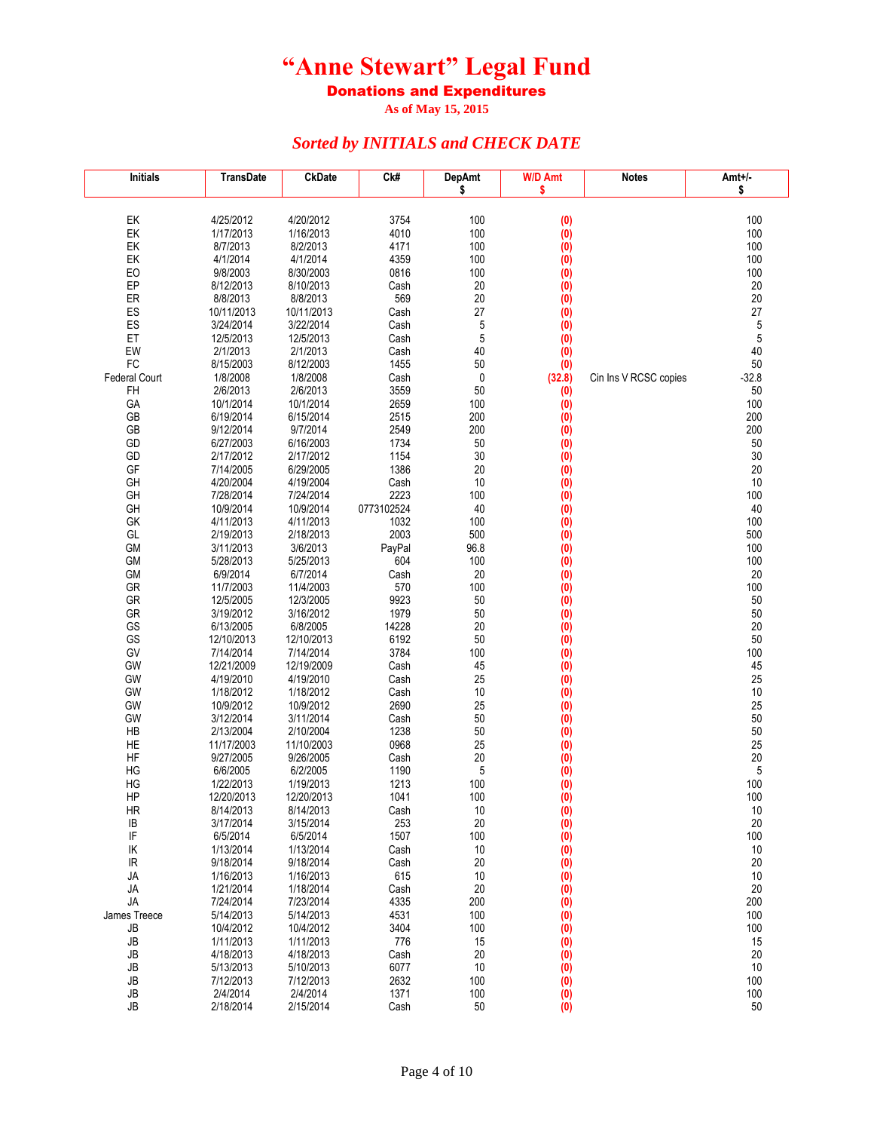Donations and Expenditures

**As of May 15, 2015**

| <b>Initials</b> | <b>TransDate</b>        | <b>CkDate</b>           | Ck#          | <b>DepAmt</b> | <b>W/D Amt</b>   | <b>Notes</b>          | Amt+/-     |
|-----------------|-------------------------|-------------------------|--------------|---------------|------------------|-----------------------|------------|
|                 |                         |                         |              | \$            | \$               |                       | \$         |
|                 |                         |                         |              |               |                  |                       |            |
| EK<br>EK        | 4/25/2012<br>1/17/2013  | 4/20/2012<br>1/16/2013  | 3754<br>4010 | 100<br>100    | (0)<br>(0)       |                       | 100<br>100 |
| EK              | 8/7/2013                | 8/2/2013                | 4171         | 100           | (0)              |                       | 100        |
| EK              | 4/1/2014                | 4/1/2014                | 4359         | 100           | (0)              |                       | 100        |
| EO              | 9/8/2003                | 8/30/2003               | 0816         | 100           | (0)              |                       | 100        |
| EP              | 8/12/2013               | 8/10/2013               | Cash         | 20            | (0)              |                       | 20         |
| ER              | 8/8/2013                | 8/8/2013                | 569          | 20            | (0)              |                       | 20         |
| ES              | 10/11/2013              | 10/11/2013              | Cash         | 27            | (0)              |                       | 27         |
| ES              | 3/24/2014               | 3/22/2014               | Cash         | 5             | (0)              |                       | 5          |
| ET              | 12/5/2013               | 12/5/2013               | Cash         | 5             | $\overline{(0)}$ |                       | 5          |
| EW              | 2/1/2013                | 2/1/2013                | Cash         | 40            | (0)              |                       | 40         |
| FC              | 8/15/2003               | 8/12/2003               | 1455         | 50            | (0)              |                       | 50         |
| Federal Court   | 1/8/2008                | 1/8/2008                | Cash         | 0             | (32.8)           | Cin Ins V RCSC copies | $-32.8$    |
| FH              | 2/6/2013<br>10/1/2014   | 2/6/2013<br>10/1/2014   | 3559         | 50            | (0)              |                       | 50<br>100  |
| GA<br>GB        | 6/19/2014               | 6/15/2014               | 2659<br>2515 | 100<br>200    | (0)<br>(0)       |                       | 200        |
| GB              | 9/12/2014               | 9/7/2014                | 2549         | 200           | (0)              |                       | 200        |
| GD              | 6/27/2003               | 6/16/2003               | 1734         | 50            | (0)              |                       | 50         |
| GD              | 2/17/2012               | 2/17/2012               | 1154         | 30            | (0)              |                       | 30         |
| GF              | 7/14/2005               | 6/29/2005               | 1386         | 20            | (0)              |                       | 20         |
| GH              | 4/20/2004               | 4/19/2004               | Cash         | 10            | (0)              |                       | 10         |
| GH              | 7/28/2014               | 7/24/2014               | 2223         | 100           | (0)              |                       | 100        |
| GH              | 10/9/2014               | 10/9/2014               | 0773102524   | 40            | (0)              |                       | 40         |
| GK              | 4/11/2013               | 4/11/2013               | 1032         | 100           | (0)              |                       | 100        |
| GL              | 2/19/2013               | 2/18/2013               | 2003         | 500           | (0)              |                       | 500        |
| GM              | 3/11/2013               | 3/6/2013                | PayPal       | 96.8          | (0)              |                       | 100        |
| GM              | 5/28/2013               | 5/25/2013               | 604          | 100           | $\overline{(0)}$ |                       | 100        |
| GM              | 6/9/2014                | 6/7/2014                | Cash         | 20            | (0)              |                       | 20         |
| GR<br>GR        | 11/7/2003               | 11/4/2003<br>12/3/2005  | 570<br>9923  | 100           | $\overline{(0)}$ |                       | 100<br>50  |
| GR              | 12/5/2005<br>3/19/2012  | 3/16/2012               | 1979         | 50<br>50      | (0)<br>(0)       |                       | 50         |
| GS              | 6/13/2005               | 6/8/2005                | 14228        | 20            | (0)              |                       | 20         |
| GS              | 12/10/2013              | 12/10/2013              | 6192         | 50            | (0)              |                       | 50         |
| GV              | 7/14/2014               | 7/14/2014               | 3784         | 100           | (0)              |                       | 100        |
| GW              | 12/21/2009              | 12/19/2009              | Cash         | 45            | (0)              |                       | 45         |
| GW              | 4/19/2010               | 4/19/2010               | Cash         | 25            | (0)              |                       | 25         |
| GW              | 1/18/2012               | 1/18/2012               | Cash         | 10            | (0)              |                       | 10         |
| GW              | 10/9/2012               | 10/9/2012               | 2690         | 25            | (0)              |                       | 25         |
| GW              | 3/12/2014               | 3/11/2014               | Cash         | 50            | (0)              |                       | 50         |
| HB              | 2/13/2004               | 2/10/2004               | 1238         | 50            | (0)              |                       | 50         |
| HE              | 11/17/2003              | 11/10/2003              | 0968         | 25            | (0)              |                       | 25         |
| HF              | 9/27/2005               | 9/26/2005               | Cash         | 20            | (0)              |                       | 20         |
| HG              | 6/6/2005                | 6/2/2005                | 1190         | 5             | (0)              |                       | 5          |
| HG<br>HP        | 1/22/2013<br>12/20/2013 | 1/19/2013<br>12/20/2013 | 1213<br>1041 | 100<br>100    | (0)<br>(0)       |                       | 100<br>100 |
| HR              | 8/14/2013               | 8/14/2013               | Cash         | 10            | (0)              |                       | $10\,$     |
| IB              | 3/17/2014               | 3/15/2014               | 253          | 20            | (0)              |                       | 20         |
| IF              | 6/5/2014                | 6/5/2014                | 1507         | 100           | (0)              |                       | 100        |
| ΙK              | 1/13/2014               | 1/13/2014               | Cash         | 10            | (0)              |                       | 10         |
| IR              | 9/18/2014               | 9/18/2014               | Cash         | 20            | (0)              |                       | 20         |
| JA              | 1/16/2013               | 1/16/2013               | 615          | 10            | (0)              |                       | 10         |
| JA              | 1/21/2014               | 1/18/2014               | Cash         | 20            | (0)              |                       | 20         |
| JA              | 7/24/2014               | 7/23/2014               | 4335         | 200           | (0)              |                       | 200        |
| James Treece    | 5/14/2013               | 5/14/2013               | 4531         | 100           | (0)              |                       | 100        |
| JB              | 10/4/2012               | 10/4/2012               | 3404         | 100           | (0)              |                       | 100        |
| JB              | 1/11/2013               | 1/11/2013               | 776          | 15            | (0)              |                       | 15         |
| JB              | 4/18/2013               | 4/18/2013               | Cash         | 20            | (0)              |                       | 20         |
| JB              | 5/13/2013               | 5/10/2013               | 6077         | 10            | (0)              |                       | 10         |
| JB              | 7/12/2013               | 7/12/2013               | 2632         | 100           | (0)              |                       | 100        |
| JB<br>JB        | 2/4/2014<br>2/18/2014   | 2/4/2014<br>2/15/2014   | 1371<br>Cash | 100<br>50     | (0)<br>(0)       |                       | 100<br>50  |
|                 |                         |                         |              |               |                  |                       |            |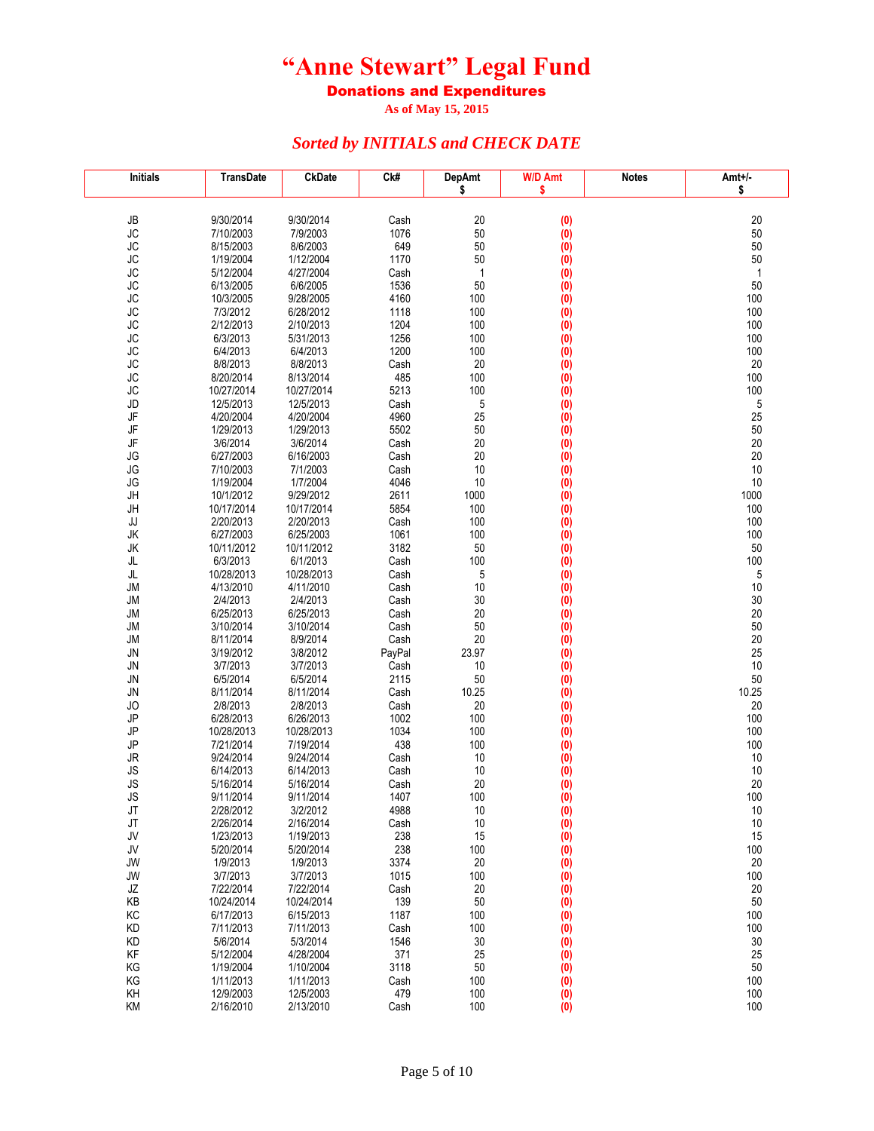Donations and Expenditures

**As of May 15, 2015**

| <b>Initials</b>        | TransDate              | <b>CkDate</b>          | Ck#          | <b>DepAmt</b> | <b>W/D Amt</b>    | <b>Notes</b> | Amt+/-    |
|------------------------|------------------------|------------------------|--------------|---------------|-------------------|--------------|-----------|
|                        |                        |                        |              | \$            | \$                |              | \$        |
|                        |                        |                        |              |               |                   |              |           |
| JB                     | 9/30/2014              | 9/30/2014<br>7/9/2003  | Cash         | 20            | (0)               |              | 20        |
| <b>JC</b><br><b>JC</b> | 7/10/2003<br>8/15/2003 | 8/6/2003               | 1076<br>649  | 50<br>50      | (0)<br>(0)        |              | 50<br>50  |
| <b>JC</b>              | 1/19/2004              | 1/12/2004              | 1170         | 50            | (0)               |              | 50        |
| <b>JC</b>              | 5/12/2004              | 4/27/2004              | Cash         | 1             | (0)               |              | 1         |
| <b>JC</b>              | 6/13/2005              | 6/6/2005               | 1536         | 50            | (0)               |              | 50        |
| <b>JC</b>              | 10/3/2005              | 9/28/2005              | 4160         | 100           | (0)               |              | 100       |
| <b>JC</b>              | 7/3/2012               | 6/28/2012              | 1118         | 100           | $\overline{(0)}$  |              | 100       |
| <b>JC</b>              | 2/12/2013              | 2/10/2013              | 1204         | 100           | (0)               |              | 100       |
| <b>JC</b>              | 6/3/2013               | 5/31/2013              | 1256         | 100           | (0)               |              | 100       |
| <b>JC</b>              | 6/4/2013               | 6/4/2013               | 1200         | 100           | (0)               |              | 100       |
| <b>JC</b>              | 8/8/2013               | 8/8/2013               | Cash         | 20            | (0)               |              | 20        |
| <b>JC</b>              | 8/20/2014              | 8/13/2014              | 485          | 100           | (0)               |              | 100       |
| <b>JC</b>              | 10/27/2014             | 10/27/2014             | 5213         | 100           | (0)               |              | 100       |
| JD<br>JF               | 12/5/2013<br>4/20/2004 | 12/5/2013<br>4/20/2004 | Cash<br>4960 | 5<br>25       | (0)<br>(0)        |              | 5<br>25   |
| JF                     | 1/29/2013              | 1/29/2013              | 5502         | 50            | (0)               |              | 50        |
| JF                     | 3/6/2014               | 3/6/2014               | Cash         | 20            | (0)               |              | 20        |
| JG                     | 6/27/2003              | 6/16/2003              | Cash         | 20            | (0)               |              | 20        |
| JG                     | 7/10/2003              | 7/1/2003               | Cash         | 10            | (0)               |              | 10        |
| JG                     | 1/19/2004              | 1/7/2004               | 4046         | 10            | (0)               |              | 10        |
| JH                     | 10/1/2012              | 9/29/2012              | 2611         | 1000          | (0)               |              | 1000      |
| JH                     | 10/17/2014             | 10/17/2014             | 5854         | 100           | (0)               |              | 100       |
| JJ                     | 2/20/2013              | 2/20/2013              | Cash         | 100           | $\overline{(0)}$  |              | 100       |
| JK                     | 6/27/2003              | 6/25/2003              | 1061         | 100           | (0)               |              | 100       |
| JK                     | 10/11/2012             | 10/11/2012             | 3182         | 50            | (0)               |              | 50        |
| JL                     | 6/3/2013               | 6/1/2013               | Cash         | 100           | (0)               |              | 100       |
| JL                     | 10/28/2013             | 10/28/2013             | Cash         | 5             | (0)               |              | 5         |
| <b>JM</b>              | 4/13/2010<br>2/4/2013  | 4/11/2010<br>2/4/2013  | Cash         | 10            | (0)               |              | 10        |
| <b>JM</b><br>JM        | 6/25/2013              | 6/25/2013              | Cash<br>Cash | 30<br>20      | (0)<br>(0)        |              | 30<br>20  |
| <b>JM</b>              | 3/10/2014              | 3/10/2014              | Cash         | 50            | (0)               |              | 50        |
| <b>JM</b>              | 8/11/2014              | 8/9/2014               | Cash         | 20            | (0)               |              | 20        |
| JN                     | 3/19/2012              | 3/8/2012               | PayPal       | 23.97         | (0)               |              | 25        |
| JN                     | 3/7/2013               | 3/7/2013               | Cash         | 10            | (0)               |              | 10        |
| JN                     | 6/5/2014               | 6/5/2014               | 2115         | 50            | (0)               |              | 50        |
| JN                     | 8/11/2014              | 8/11/2014              | Cash         | 10.25         | (0)               |              | 10.25     |
| JO                     | 2/8/2013               | 2/8/2013               | Cash         | 20            | (0)               |              | 20        |
| JP                     | 6/28/2013              | 6/26/2013              | 1002         | 100           | (0)               |              | 100       |
| JP                     | 10/28/2013             | 10/28/2013             | 1034         | 100           | (0)               |              | 100       |
| JP                     | 7/21/2014              | 7/19/2014              | 438          | 100           | (0)               |              | 100       |
| JR                     | 9/24/2014              | 9/24/2014              | Cash         | 10            | (0)               |              | 10        |
| JS<br>JS               | 6/14/2013<br>5/16/2014 | 6/14/2013<br>5/16/2014 | Cash<br>Cash | 10<br>20      | (0)               |              | 10<br>20  |
| <b>JS</b>              | 9/11/2014              | 9/11/2014              | 1407         | 100           | (0)<br>(0)        |              | 100       |
| JT                     | 2/28/2012              | 3/2/2012               | 4988         | 10            | $\left( 0\right)$ |              | 10        |
| JT                     | 2/26/2014              | 2/16/2014              | Cash         | 10            | (0)               |              | 10        |
| JV                     | 1/23/2013              | 1/19/2013              | 238          | 15            | (0)               |              | 15        |
| JV                     | 5/20/2014              | 5/20/2014              | 238          | 100           | (0)               |              | 100       |
| JW                     | 1/9/2013               | 1/9/2013               | 3374         | 20            | (0)               |              | 20        |
| JW                     | 3/7/2013               | 3/7/2013               | 1015         | 100           | (0)               |              | 100       |
| JZ                     | 7/22/2014              | 7/22/2014              | Cash         | 20            | (0)               |              | 20        |
| ΚB                     | 10/24/2014             | 10/24/2014             | 139          | 50            | (0)               |              | 50        |
| KC                     | 6/17/2013              | 6/15/2013              | 1187         | 100           | (0)               |              | 100       |
| KD                     | 7/11/2013              | 7/11/2013              | Cash         | 100           | (0)               |              | 100       |
| KD                     | 5/6/2014               | 5/3/2014               | 1546         | 30            | (0)               |              | 30        |
| KF                     | 5/12/2004              | 4/28/2004              | 371          | 25            | (0)               |              | 25        |
| ΚG<br>KG               | 1/19/2004<br>1/11/2013 | 1/10/2004<br>1/11/2013 | 3118<br>Cash | 50<br>100     | (0)<br>(0)        |              | 50<br>100 |
| KΗ                     | 12/9/2003              | 12/5/2003              | 479          | 100           | (0)               |              | 100       |
| KM                     | 2/16/2010              | 2/13/2010              | Cash         | 100           | (0)               |              | 100       |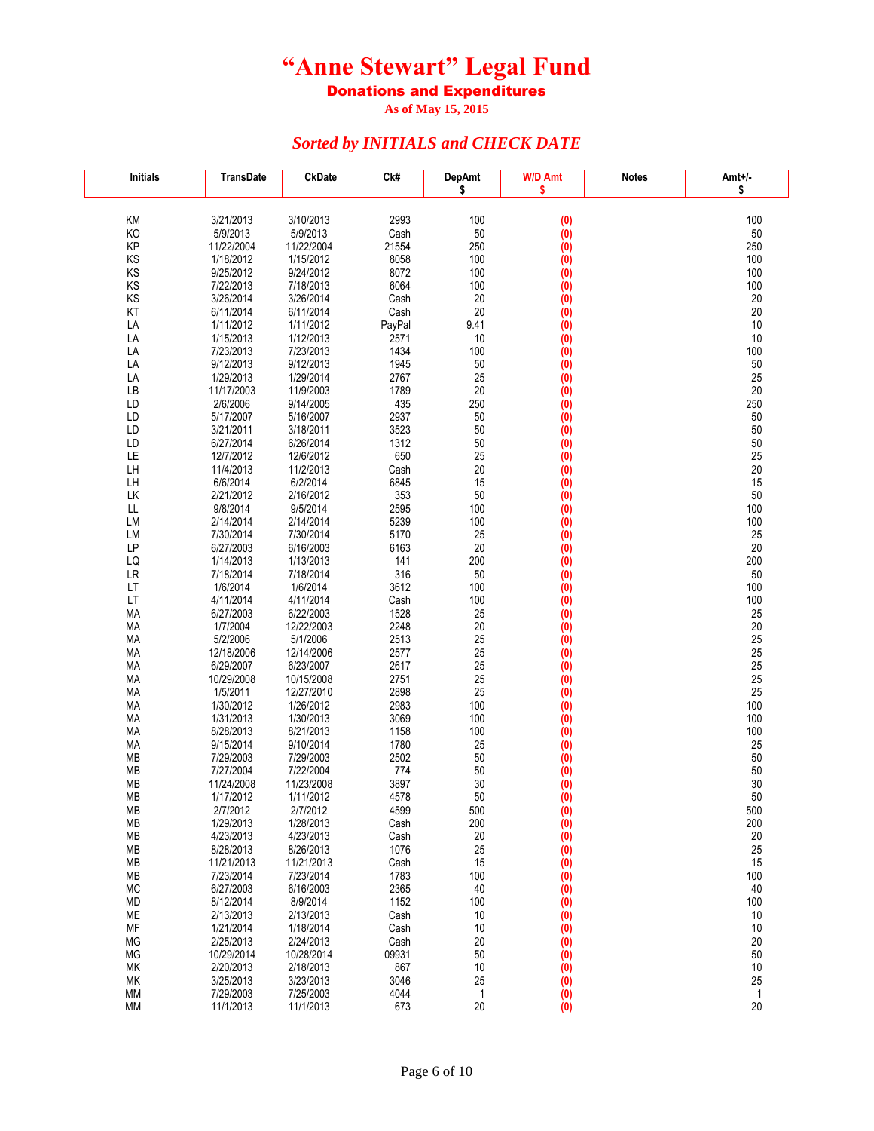Donations and Expenditures

**As of May 15, 2015**

| <b>Initials</b> | <b>TransDate</b>        | <b>CkDate</b>           | Ck#            | <b>DepAmt</b> | W/D Amt                 | <b>Notes</b> | $Amt+/-$     |
|-----------------|-------------------------|-------------------------|----------------|---------------|-------------------------|--------------|--------------|
|                 |                         |                         |                | \$            | \$                      |              | \$           |
|                 |                         |                         |                |               |                         |              |              |
| KM<br>KO        | 3/21/2013<br>5/9/2013   | 3/10/2013<br>5/9/2013   | 2993<br>Cash   | 100<br>50     | (0)<br>(0)              |              | 100<br>50    |
| KP              | 11/22/2004              | 11/22/2004              | 21554          | 250           | (0)                     |              | 250          |
| KS              | 1/18/2012               | 1/15/2012               | 8058           | 100           | (0)                     |              | 100          |
| KS              | 9/25/2012               | 9/24/2012               | 8072           | 100           | (0)                     |              | 100          |
| KS              | 7/22/2013               | 7/18/2013               | 6064           | 100           | (0)                     |              | 100          |
| KS              | 3/26/2014               | 3/26/2014               | Cash           | 20            | (0)                     |              | 20           |
| KT              | 6/11/2014               | 6/11/2014               | Cash           | 20            | $\overline{(0)}$        |              | 20           |
| LA<br>LA        | 1/11/2012<br>1/15/2013  | 1/11/2012<br>1/12/2013  | PayPal<br>2571 | 9.41<br>10    | (0)<br>$\overline{(0)}$ |              | 10<br>10     |
| LA              | 7/23/2013               | 7/23/2013               | 1434           | 100           | (0)                     |              | 100          |
| LA              | 9/12/2013               | 9/12/2013               | 1945           | 50            | (0)                     |              | 50           |
| LA              | 1/29/2013               | 1/29/2014               | 2767           | 25            | (0)                     |              | 25           |
| LB              | 11/17/2003              | 11/9/2003               | 1789           | 20            | (0)                     |              | 20           |
| LD              | 2/6/2006                | 9/14/2005               | 435            | 250           | (0)                     |              | 250          |
| LD              | 5/17/2007               | 5/16/2007               | 2937           | 50            | (0)                     |              | 50           |
| LD<br>LD        | 3/21/2011<br>6/27/2014  | 3/18/2011<br>6/26/2014  | 3523<br>1312   | 50<br>50      | (0)<br>(0)              |              | 50<br>50     |
| LE              | 12/7/2012               | 12/6/2012               | 650            | 25            | (0)                     |              | 25           |
| LH              | 11/4/2013               | 11/2/2013               | Cash           | 20            | (0)                     |              | 20           |
| LH              | 6/6/2014                | 6/2/2014                | 6845           | 15            | (0)                     |              | 15           |
| LK              | 2/21/2012               | 2/16/2012               | 353            | 50            | (0)                     |              | 50           |
| LL              | 9/8/2014                | 9/5/2014                | 2595           | 100           | (0)                     |              | 100          |
| LM              | 2/14/2014               | 2/14/2014               | 5239           | 100           | (0)                     |              | 100          |
| LM<br>LP        | 7/30/2014<br>6/27/2003  | 7/30/2014<br>6/16/2003  | 5170<br>6163   | 25<br>20      | (0)<br>(0)              |              | 25<br>20     |
| LQ              | 1/14/2013               | 1/13/2013               | 141            | 200           | $\overline{(0)}$        |              | 200          |
| LR              | 7/18/2014               | 7/18/2014               | 316            | 50            | (0)                     |              | 50           |
| LT              | 1/6/2014                | 1/6/2014                | 3612           | 100           | (0)                     |              | 100          |
| LT              | 4/11/2014               | 4/11/2014               | Cash           | 100           | (0)                     |              | 100          |
| MA              | 6/27/2003               | 6/22/2003               | 1528           | 25            | (0)                     |              | 25           |
| MA              | 1/7/2004                | 12/22/2003              | 2248           | 20            | (0)                     |              | 20           |
| MA<br>МA        | 5/2/2006<br>12/18/2006  | 5/1/2006<br>12/14/2006  | 2513<br>2577   | 25<br>25      | (0)<br>(0)              |              | 25<br>25     |
| MA              | 6/29/2007               | 6/23/2007               | 2617           | 25            | (0)                     |              | 25           |
| МA              | 10/29/2008              | 10/15/2008              | 2751           | 25            | (0)                     |              | 25           |
| МA              | 1/5/2011                | 12/27/2010              | 2898           | 25            | (0)                     |              | 25           |
| MA              | 1/30/2012               | 1/26/2012               | 2983           | 100           | (0)                     |              | 100          |
| MA              | 1/31/2013               | 1/30/2013               | 3069           | 100           | (0)                     |              | 100          |
| MA              | 8/28/2013               | 8/21/2013               | 1158           | 100           | (0)                     |              | 100          |
| MA<br><b>MB</b> | 9/15/2014<br>7/29/2003  | 9/10/2014<br>7/29/2003  | 1780<br>2502   | 25<br>50      | (0)<br>(0)              |              | 25<br>50     |
| <b>MB</b>       | 7/27/2004               | 7/22/2004               | 774            | 50            | (0)                     |              | 50           |
| МB              | 11/24/2008              | 11/23/2008              | 3897           | 30            | (0)                     |              | 30           |
| МB              | 1/17/2012               | 1/11/2012               | 4578           | 50            | (0)                     |              | 50           |
| MВ              | 2///2012                | 2/7/2012                | 4599           | 500           | (0)                     |              | 500          |
| MB              | 1/29/2013               | 1/28/2013               | Cash           | 200           | (0)                     |              | 200          |
| MB              | 4/23/2013               | 4/23/2013               | Cash           | 20<br>25      | (0)                     |              | 20           |
| MB<br>MB        | 8/28/2013<br>11/21/2013 | 8/26/2013<br>11/21/2013 | 1076<br>Cash   | 15            | $\overline{(0)}$<br>(0) |              | 25<br>15     |
| MB              | 7/23/2014               | 7/23/2014               | 1783           | 100           | (0)                     |              | 100          |
| <b>MC</b>       | 6/27/2003               | 6/16/2003               | 2365           | 40            | (0)                     |              | 40           |
| MD              | 8/12/2014               | 8/9/2014                | 1152           | 100           | (0)                     |              | 100          |
| <b>ME</b>       | 2/13/2013               | 2/13/2013               | Cash           | 10            | (0)                     |              | 10           |
| MF              | 1/21/2014               | 1/18/2014               | Cash           | 10            | (0)                     |              | 10           |
| MG              | 2/25/2013               | 2/24/2013               | Cash           | 20            | (0)                     |              | 20           |
| MG<br>MK        | 10/29/2014<br>2/20/2013 | 10/28/2014<br>2/18/2013 | 09931<br>867   | 50<br>10      | (0)                     |              | 50<br>10     |
| МK              | 3/25/2013               | 3/23/2013               | 3046           | 25            | (0)<br>$\overline{(0)}$ |              | 25           |
| МM              | 7/29/2003               | 7/25/2003               | 4044           | 1             | (0)                     |              | $\mathbf{1}$ |
| <b>MM</b>       | 11/1/2013               | 11/1/2013               | 673            | 20            | (0)                     |              | 20           |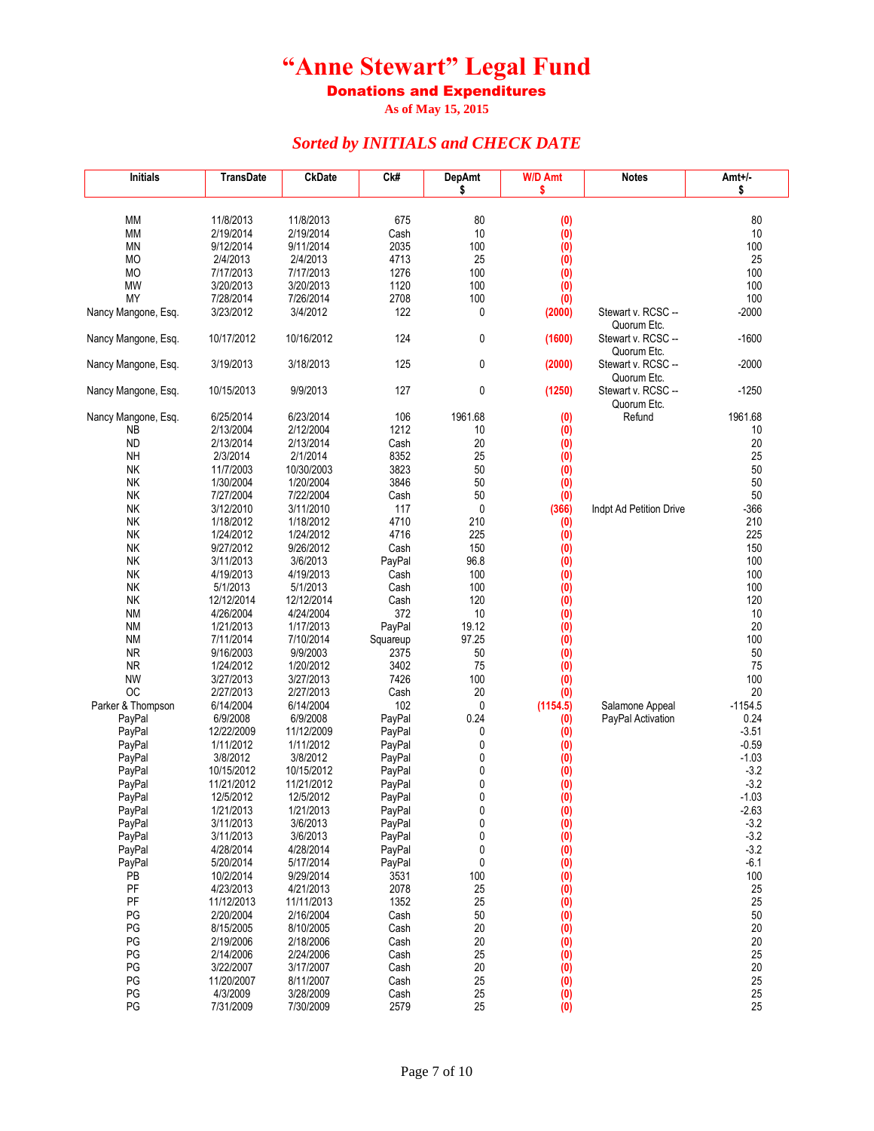Donations and Expenditures

**As of May 15, 2015**

| <b>Initials</b>        | <b>TransDate</b>       | <b>CkDate</b>          | Ck#              | <b>DepAmt</b> | <b>W/D Amt</b>   | <b>Notes</b>                      | Amt+/-           |
|------------------------|------------------------|------------------------|------------------|---------------|------------------|-----------------------------------|------------------|
|                        |                        |                        |                  | \$            | \$               |                                   | \$               |
|                        |                        |                        |                  |               |                  |                                   |                  |
| МM                     | 11/8/2013<br>2/19/2014 | 11/8/2013<br>2/19/2014 | 675              | 80<br>10      | (0)              |                                   | 80<br>10         |
| МM<br>ΜN               | 9/12/2014              | 9/11/2014              | Cash<br>2035     | 100           | (0)<br>(0)       |                                   | 100              |
| MO                     | 2/4/2013               | 2/4/2013               | 4713             | 25            | (0)              |                                   | 25               |
| MO                     | 7/17/2013              | 7/17/2013              | 1276             | 100           | (0)              |                                   | 100              |
| MW                     | 3/20/2013              | 3/20/2013              | 1120             | 100           | $\overline{(0)}$ |                                   | 100              |
| <b>MY</b>              | 7/28/2014              | 7/26/2014              | 2708             | 100           | (0)              |                                   | 100              |
| Nancy Mangone, Esq.    | 3/23/2012              | 3/4/2012               | 122              | 0             | (2000)           | Stewart v. RCSC --                | $-2000$          |
|                        |                        |                        |                  |               |                  | Quorum Etc.                       |                  |
| Nancy Mangone, Esq.    | 10/17/2012             | 10/16/2012             | 124              | 0             | (1600)           | Stewart v. RCSC --                | $-1600$          |
|                        |                        |                        |                  |               |                  | Quorum Etc.                       |                  |
| Nancy Mangone, Esq.    | 3/19/2013              | 3/18/2013              | 125              | 0             | (2000)           | Stewart v. RCSC --<br>Quorum Etc. | $-2000$          |
| Nancy Mangone, Esq.    | 10/15/2013             | 9/9/2013               | 127              | 0             | (1250)           | Stewart v. RCSC --                | $-1250$          |
|                        |                        |                        |                  |               |                  | Quorum Etc.                       |                  |
| Nancy Mangone, Esq.    | 6/25/2014              | 6/23/2014              | 106              | 1961.68       | (0)              | Refund                            | 1961.68          |
| ΝB                     | 2/13/2004              | 2/12/2004              | 1212             | 10            | (0)              |                                   | 10               |
| ND                     | 2/13/2014              | 2/13/2014              | Cash             | 20            | (0)              |                                   | 20               |
| <b>NH</b>              | 2/3/2014               | 2/1/2014               | 8352             | 25            | (0)              |                                   | 25               |
| <b>NK</b>              | 11/7/2003              | 10/30/2003             | 3823             | 50            | (0)              |                                   | 50               |
| <b>NK</b>              | 1/30/2004              | 1/20/2004              | 3846             | 50            | (0)              |                                   | 50               |
| <b>NK</b>              | 7/27/2004              | 7/22/2004              | Cash             | 50            | (0)              |                                   | 50               |
| <b>NK</b>              | 3/12/2010              | 3/11/2010              | 117              | $\pmb{0}$     | (366)            | Indpt Ad Petition Drive           | $-366$           |
| <b>NK</b><br><b>NK</b> | 1/18/2012<br>1/24/2012 | 1/18/2012<br>1/24/2012 | 4710<br>4716     | 210<br>225    | (0)              |                                   | 210<br>225       |
| <b>NK</b>              | 9/27/2012              | 9/26/2012              | Cash             | 150           | (0)<br>(0)       |                                   | 150              |
| NΚ                     | 3/11/2013              | 3/6/2013               | PayPal           | 96.8          | (0)              |                                   | 100              |
| <b>NK</b>              | 4/19/2013              | 4/19/2013              | Cash             | 100           | (0)              |                                   | 100              |
| <b>NK</b>              | 5/1/2013               | 5/1/2013               | Cash             | 100           | (0)              |                                   | 100              |
| <b>NK</b>              | 12/12/2014             | 12/12/2014             | Cash             | 120           | (0)              |                                   | 120              |
| <b>NM</b>              | 4/26/2004              | 4/24/2004              | 372              | 10            | (0)              |                                   | 10               |
| <b>NM</b>              | 1/21/2013              | 1/17/2013              | PayPal           | 19.12         | (0)              |                                   | 20               |
| <b>NM</b>              | 7/11/2014              | 7/10/2014              | Squareup         | 97.25         | (0)              |                                   | 100              |
| ΝR                     | 9/16/2003              | 9/9/2003               | 2375             | 50            | (0)              |                                   | 50               |
| ΝR<br><b>NW</b>        | 1/24/2012              | 1/20/2012<br>3/27/2013 | 3402<br>7426     | 75<br>100     | (0)              |                                   | 75<br>100        |
| <b>OC</b>              | 3/27/2013<br>2/27/2013 | 2/27/2013              | Cash             | 20            | (0)<br>(0)       |                                   | 20               |
| Parker & Thompson      | 6/14/2004              | 6/14/2004              | 102              | 0             | (1154.5)         | Salamone Appeal                   | $-1154.5$        |
| PayPal                 | 6/9/2008               | 6/9/2008               | PayPal           | 0.24          | (0)              | PayPal Activation                 | 0.24             |
| PayPal                 | 12/22/2009             | 11/12/2009             | PayPal           | 0             | (0)              |                                   | $-3.51$          |
| PayPal                 | 1/11/2012              | 1/11/2012              | PayPal           | 0             | (0)              |                                   | -0.59            |
| PayPal                 | 3/8/2012               | 3/8/2012               | PayPal           | 0             | (0)              |                                   | $-1.03$          |
| PayPal                 | 10/15/2012             | 10/15/2012             | PayPal           | 0             | (0)              |                                   | $-3.2$           |
| PayPal                 | 11/21/2012             | 11/21/2012             | PayPal           | 0             | (0)              |                                   | $-3.2$           |
| PayPal                 | 12/5/2012              | 12/5/2012              | PayPal           | 0             | (0)              |                                   | $-1.03$          |
| PayPal                 | 1/21/2013              | 1/21/2013              | PayPal           | 0             | (0)              |                                   | -2.63            |
| PayPal<br>PayPal       | 3/11/2013<br>3/11/2013 | 3/6/2013<br>3/6/2013   | PayPal<br>PayPal | 0<br>0        | (0)<br>(0)       |                                   | $-3.2$<br>$-3.2$ |
| PayPal                 | 4/28/2014              | 4/28/2014              | PayPal           | 0             | (0)              |                                   | $-3.2$           |
| PayPal                 | 5/20/2014              | 5/17/2014              | PayPal           | 0             | (0)              |                                   | $-6.1$           |
| PB                     | 10/2/2014              | 9/29/2014              | 3531             | 100           | (0)              |                                   | 100              |
| PF                     | 4/23/2013              | 4/21/2013              | 2078             | 25            | (0)              |                                   | 25               |
| PF                     | 11/12/2013             | 11/11/2013             | 1352             | 25            | $\overline{(0)}$ |                                   | 25               |
| PG                     | 2/20/2004              | 2/16/2004              | Cash             | 50            | (0)              |                                   | 50               |
| PG                     | 8/15/2005              | 8/10/2005              | Cash             | 20            | $\overline{(0)}$ |                                   | 20               |
| PG                     | 2/19/2006              | 2/18/2006              | Cash             | 20            | (0)              |                                   | 20               |
| PG                     | 2/14/2006              | 2/24/2006              | Cash             | 25            | $\dot{0}$        |                                   | 25               |
| PG                     | 3/22/2007              | 3/17/2007              | Cash             | 20            | (0)              |                                   | 20<br>25         |
| PG<br>PG               | 11/20/2007<br>4/3/2009 | 8/11/2007<br>3/28/2009 | Cash<br>Cash     | 25<br>25      | (0)              |                                   | 25               |
| PG                     | 7/31/2009              | 7/30/2009              | 2579             | 25            | (0)<br>(0)       |                                   | 25               |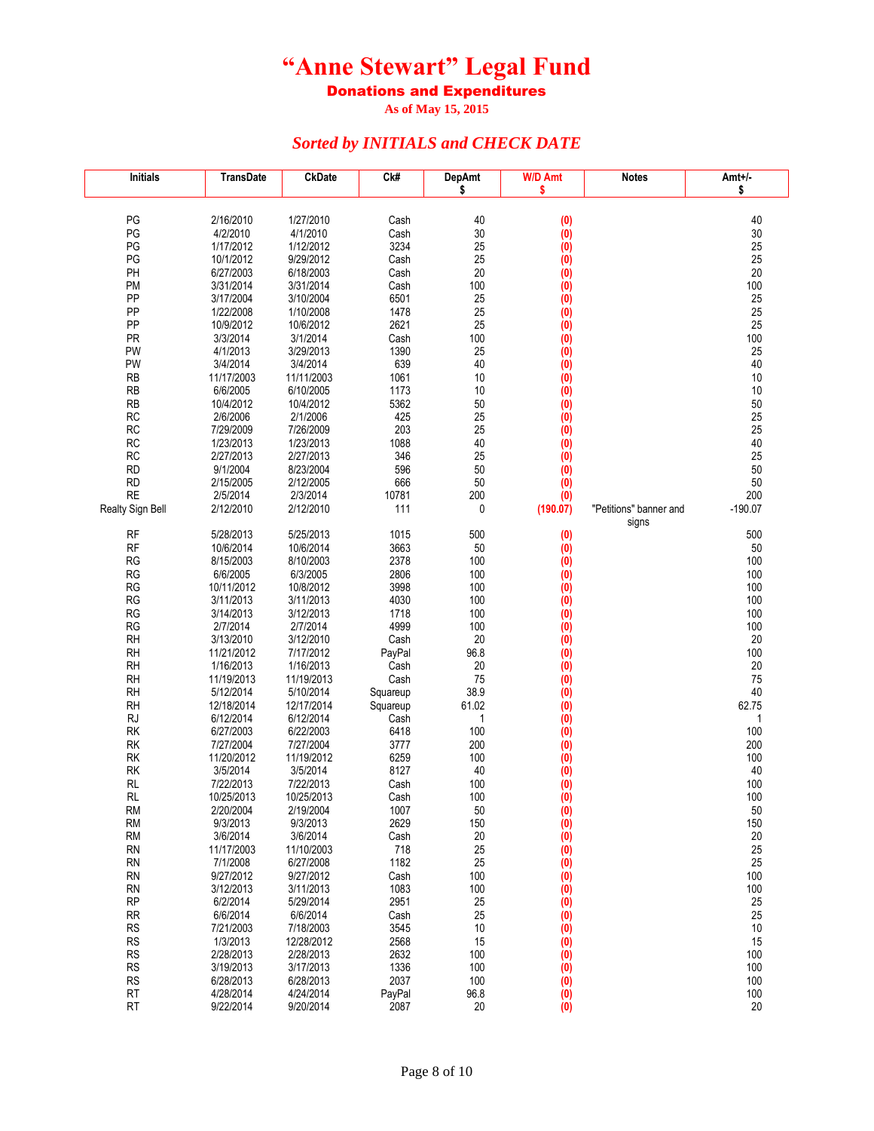Donations and Expenditures

**As of May 15, 2015**

| <b>Initials</b>        | <b>TransDate</b>        | <b>CkDate</b>          | Ck#            | <b>DepAmt</b><br>\$ | W/D Amt<br>\$ | <b>Notes</b>                    | Amt+/-<br>\$ |
|------------------------|-------------------------|------------------------|----------------|---------------------|---------------|---------------------------------|--------------|
|                        |                         |                        |                |                     |               |                                 |              |
| PG                     | 2/16/2010               | 1/27/2010              | Cash           | 40                  | (0)           |                                 | 40           |
| PG                     | 4/2/2010                | 4/1/2010               | Cash           | 30                  | (0)           |                                 | 30           |
| PG                     | 1/17/2012               | 1/12/2012              | 3234           | 25                  | (0)           |                                 | 25           |
| PG                     | 10/1/2012               | 9/29/2012              | Cash           | 25                  | (0)           |                                 | 25           |
| PH                     | 6/27/2003               | 6/18/2003              | Cash           | 20                  | (0)           |                                 | 20           |
| <b>PM</b>              | 3/31/2014               | 3/31/2014              | Cash           | 100                 | (0)           |                                 | 100          |
| PP                     | 3/17/2004               | 3/10/2004              | 6501           | 25                  | (0)           |                                 | 25           |
| PP                     | 1/22/2008               | 1/10/2008              | 1478           | 25                  | (0)           |                                 | 25           |
| PP                     | 10/9/2012               | 10/6/2012              | 2621           | 25                  | (0)           |                                 | 25           |
| PR                     | 3/3/2014                | 3/1/2014               | Cash           | 100                 | (0)           |                                 | 100          |
| PW<br>PW               | 4/1/2013                | 3/29/2013              | 1390<br>639    | 25<br>40            | (0)           |                                 | 25<br>40     |
| <b>RB</b>              | 3/4/2014<br>11/17/2003  | 3/4/2014<br>11/11/2003 | 1061           | 10                  | (0)           |                                 | 10           |
| <b>RB</b>              | 6/6/2005                | 6/10/2005              | 1173           | 10                  | (0)<br>(0)    |                                 | 10           |
| <b>RB</b>              | 10/4/2012               | 10/4/2012              | 5362           | 50                  | (0)           |                                 | 50           |
| <b>RC</b>              | 2/6/2006                | 2/1/2006               | 425            | 25                  | (0)           |                                 | 25           |
| <b>RC</b>              | 7/29/2009               | 7/26/2009              | 203            | 25                  | (0)           |                                 | 25           |
| <b>RC</b>              | 1/23/2013               | 1/23/2013              | 1088           | 40                  | (0)           |                                 | 40           |
| <b>RC</b>              | 2/27/2013               | 2/27/2013              | 346            | 25                  | (0)           |                                 | 25           |
| <b>RD</b>              | 9/1/2004                | 8/23/2004              | 596            | 50                  | (0)           |                                 | 50           |
| <b>RD</b>              | 2/15/2005               | 2/12/2005              | 666            | 50                  | (0)           |                                 | 50           |
| <b>RE</b>              | 2/5/2014                | 2/3/2014               | 10781          | 200                 | (0)           |                                 | 200          |
| Realty Sign Bell       | 2/12/2010               | 2/12/2010              | 111            | 0                   | (190.07)      | "Petitions" banner and<br>signs | $-190.07$    |
| <b>RF</b>              | 5/28/2013               | 5/25/2013              | 1015           | 500                 | (0)           |                                 | 500          |
| <b>RF</b>              | 10/6/2014               | 10/6/2014              | 3663           | 50                  | (0)           |                                 | 50           |
| <b>RG</b>              | 8/15/2003               | 8/10/2003              | 2378           | 100                 | (0)           |                                 | 100          |
| RG                     | 6/6/2005                | 6/3/2005               | 2806           | 100                 | (0)           |                                 | 100          |
| ${\sf RG}$             | 10/11/2012              | 10/8/2012              | 3998           | 100                 | (0)           |                                 | 100          |
| <b>RG</b>              | 3/11/2013               | 3/11/2013              | 4030           | 100                 | (0)           |                                 | 100          |
| <b>RG</b>              | 3/14/2013               | 3/12/2013              | 1718           | 100                 | (0)           |                                 | 100          |
| <b>RG</b>              | 2/7/2014                | 2/7/2014               | 4999           | 100                 | (0)           |                                 | 100          |
| <b>RH</b>              | 3/13/2010<br>11/21/2012 | 3/12/2010<br>7/17/2012 | Cash           | 20                  | (0)           |                                 | 20           |
| <b>RH</b><br><b>RH</b> | 1/16/2013               | 1/16/2013              | PayPal<br>Cash | 96.8<br>20          | (0)<br>(0)    |                                 | 100<br>20    |
| <b>RH</b>              | 11/19/2013              | 11/19/2013             | Cash           | 75                  | (0)           |                                 | 75           |
| <b>RH</b>              | 5/12/2014               | 5/10/2014              | Squareup       | 38.9                | (0)           |                                 | 40           |
| <b>RH</b>              | 12/18/2014              | 12/17/2014             | Squareup       | 61.02               | (0)           |                                 | 62.75        |
| <b>RJ</b>              | 6/12/2014               | 6/12/2014              | Cash           | 1                   | (0)           |                                 | 1            |
| <b>RK</b>              | 6/27/2003               | 6/22/2003              | 6418           | 100                 | (0)           |                                 | 100          |
| <b>RK</b>              | 7/27/2004               | 7/27/2004              | 3777           | 200                 | (0)           |                                 | 200          |
| RK                     | 11/20/2012              | 11/19/2012             | 6259           | 100                 | (0)           |                                 | 100          |
| RK                     | 3/5/2014                | 3/5/2014               | 8127           | 40                  | (0)           |                                 | 40           |
| <b>RL</b>              | 7/22/2013               | 7/22/2013              | Cash           | 100                 | (0)           |                                 | 100          |
| <b>RL</b>              | 10/25/2013              | 10/25/2013             | Cash           | 100                 | (0)           |                                 | 100          |
| RM<br><b>RM</b>        | 2/20/2004<br>9/3/2013   | 2/19/2004<br>9/3/2013  | 1007<br>2629   | 50<br>150           | (0)<br>(0)    |                                 | 50<br>150    |
| <b>RM</b>              | 3/6/2014                | 3/6/2014               | Cash           | 20                  | (0)           |                                 | $20\,$       |
| <b>RN</b>              | 11/17/2003              | 11/10/2003             | 718            | 25                  | (0)           |                                 | 25           |
| <b>RN</b>              | 7/1/2008                | 6/27/2008              | 1182           | 25                  | (0)           |                                 | 25           |
| <b>RN</b>              | 9/27/2012               | 9/27/2012              | Cash           | 100                 | (0)           |                                 | 100          |
| <b>RN</b>              | 3/12/2013               | 3/11/2013              | 1083           | 100                 | (0)           |                                 | 100          |
| <b>RP</b>              | 6/2/2014                | 5/29/2014              | 2951           | 25                  | (0)           |                                 | 25           |
| <b>RR</b>              | 6/6/2014                | 6/6/2014               | Cash           | 25                  | (0)           |                                 | 25           |
| <b>RS</b>              | 7/21/2003               | 7/18/2003              | 3545           | $10$                | (0)           |                                 | 10           |
| <b>RS</b>              | 1/3/2013                | 12/28/2012             | 2568           | 15                  | (0)           |                                 | 15           |
| <b>RS</b>              | 2/28/2013<br>3/19/2013  | 2/28/2013<br>3/17/2013 | 2632           | 100                 | (0)           |                                 | 100          |
| <b>RS</b><br><b>RS</b> | 6/28/2013               | 6/28/2013              | 1336<br>2037   | 100<br>100          | (0)<br>(0)    |                                 | 100<br>100   |
| RT                     | 4/28/2014               | 4/24/2014              | PayPal         | 96.8                | (0)           |                                 | 100          |
| <b>RT</b>              | 9/22/2014               | 9/20/2014              | 2087           | 20                  | (0)           |                                 | 20           |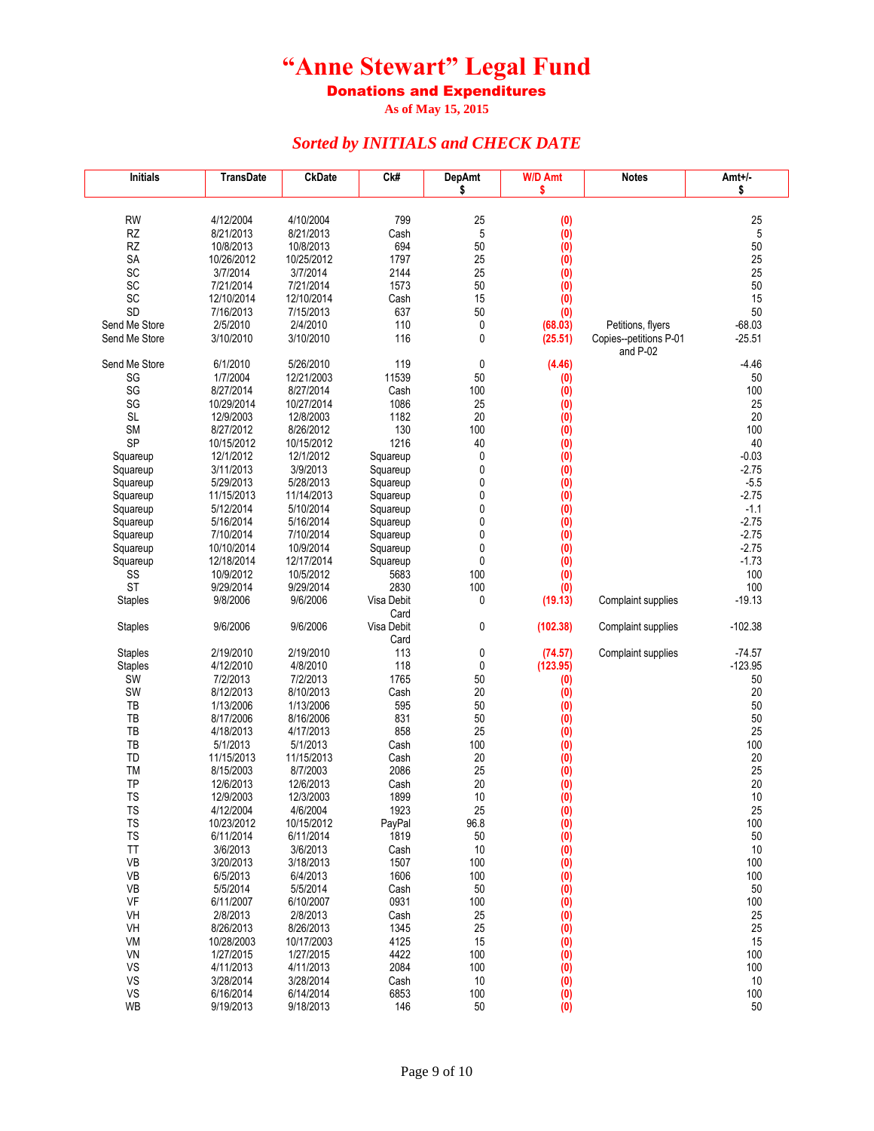Donations and Expenditures

**As of May 15, 2015**

| <b>Initials</b> | <b>TransDate</b>        | <b>CkDate</b>           | Ck#                | <b>DepAmt</b> | <b>W/D Amt</b>                         | <b>Notes</b>           | Amt+/-    |
|-----------------|-------------------------|-------------------------|--------------------|---------------|----------------------------------------|------------------------|-----------|
|                 |                         |                         |                    | \$            | \$                                     |                        | \$        |
|                 |                         |                         |                    |               |                                        |                        |           |
| <b>RW</b>       | 4/12/2004               | 4/10/2004               | 799                | 25            | (0)                                    |                        | 25        |
| RZ              | 8/21/2013               | 8/21/2013               | Cash               | 5             | (0)                                    |                        | 5         |
| RZ              | 10/8/2013<br>10/26/2012 | 10/8/2013<br>10/25/2012 | 694<br>1797        | 50<br>25      | (0)                                    |                        | 50<br>25  |
| SA<br>SC        | 3/7/2014                | 3/7/2014                | 2144               | 25            | (0)                                    |                        | 25        |
| SC              | 7/21/2014               | 7/21/2014               | 1573               | 50            | (0)<br>$\ddot{0}$                      |                        | 50        |
| SC              | 12/10/2014              | 12/10/2014              | Cash               | 15            | (0)                                    |                        | 15        |
| SD              | 7/16/2013               | 7/15/2013               | 637                | 50            | $\overline{(0)}$                       |                        | 50        |
| Send Me Store   | 2/5/2010                | 2/4/2010                | 110                | 0             | (68.03)                                | Petitions, flyers      | $-68.03$  |
| Send Me Store   | 3/10/2010               | 3/10/2010               | 116                | 0             | (25.51)                                | Copies--petitions P-01 | $-25.51$  |
|                 |                         |                         |                    |               |                                        | and P-02               |           |
| Send Me Store   | 6/1/2010                | 5/26/2010               | 119                | 0             | (4.46)                                 |                        | $-4.46$   |
| SG              | 1/7/2004                | 12/21/2003              | 11539              | 50            | (0)                                    |                        | 50        |
| SG              | 8/27/2014               | 8/27/2014               | Cash               | 100           | $\ddot{0}$                             |                        | 100       |
| SG              | 10/29/2014              | 10/27/2014              | 1086               | 25            | (0)                                    |                        | 25        |
| <b>SL</b>       | 12/9/2003               | 12/8/2003               | 1182               | 20            | $\overline{(0)}$                       |                        | 20        |
| <b>SM</b>       | 8/27/2012               | 8/26/2012               | 130                | 100           | (0)                                    |                        | 100       |
| SP              | 10/15/2012              | 10/15/2012              | 1216               | 40            | (0)                                    |                        | 40        |
| Squareup        | 12/1/2012               | 12/1/2012               | Squareup           | 0             | (0)                                    |                        | $-0.03$   |
| Squareup        | 3/11/2013               | 3/9/2013                | Squareup           | 0             | (0)                                    |                        | $-2.75$   |
| Squareup        | 5/29/2013               | 5/28/2013               | Squareup           | 0             | (0)                                    |                        | $-5.5$    |
| Squareup        | 11/15/2013              | 11/14/2013              | Squareup           | 0             | $\overline{(0)}$                       |                        | $-2.75$   |
| Squareup        | 5/12/2014               | 5/10/2014               | Squareup           | 0             | (0)                                    |                        | $-1.1$    |
| Squareup        | 5/16/2014               | 5/16/2014               | Squareup           | 0             | $\overline{(0)}$                       |                        | $-2.75$   |
| Squareup        | 7/10/2014               | 7/10/2014               | Squareup           | 0             | $\ddot{\bm{0}}$                        |                        | $-2.75$   |
| Squareup        | 10/10/2014              | 10/9/2014               | Squareup           | 0             | $\ddot{0}$                             |                        | $-2.75$   |
| Squareup        | 12/18/2014              | 12/17/2014              | Squareup           | 0             | $\ddot{0}$                             |                        | $-1.73$   |
| SS              | 10/9/2012               | 10/5/2012               | 5683               | 100           | (0)                                    |                        | 100       |
| <b>ST</b>       | 9/29/2014               | 9/29/2014               | 2830               | 100           | (0)                                    |                        | 100       |
| <b>Staples</b>  | 9/8/2006                | 9/6/2006                | Visa Debit         | 0             | (19.13)                                | Complaint supplies     | $-19.13$  |
|                 |                         |                         | Card               |               |                                        |                        |           |
| <b>Staples</b>  | 9/6/2006                | 9/6/2006                | Visa Debit<br>Card | 0             | (102.38)                               | Complaint supplies     | $-102.38$ |
| <b>Staples</b>  | 2/19/2010               | 2/19/2010               | 113                | 0             | (74.57)                                | Complaint supplies     | $-74.57$  |
| <b>Staples</b>  | 4/12/2010               | 4/8/2010                | 118                | 0             | (123.95)                               |                        | $-123.95$ |
| SW              | 7/2/2013                | 7/2/2013                | 1765               | 50            | (0)                                    |                        | 50        |
| SW              | 8/12/2013               | 8/10/2013               | Cash               | 20            | (0)                                    |                        | 20        |
| TB              | 1/13/2006               | 1/13/2006               | 595                | 50            | (0)                                    |                        | 50        |
| TB              | 8/17/2006               | 8/16/2006               | 831                | 50            | (0)                                    |                        | 50        |
| TB              | 4/18/2013               | 4/17/2013               | 858                | 25            | (0)                                    |                        | 25        |
| TB              | 5/1/2013                | 5/1/2013                | Cash               | 100           | (0)                                    |                        | 100       |
| TD              | 11/15/2013              | 11/15/2013              | Cash               | 20            | (0)                                    |                        | 20        |
| <b>TM</b>       | 8/15/2003               | 8/7/2003                | 2086               | 25            | (0)                                    |                        | 25        |
| TP              | 12/6/2013               | 12/6/2013               | Cash               | 20            | (0)                                    |                        | 20        |
| <b>TS</b>       | 12/9/2003               | 12/3/2003               | 1899               | 10            | (0)                                    |                        | 10        |
| ΤS              | 4/12/2004               | 4/6/2004                | 1923               | 25            | (0)                                    |                        | 25        |
| TS              | 10/23/2012              | 10/15/2012              | PayPal             | 96.8          | $\overline{(0)}$                       |                        | 100       |
| <b>TS</b>       | 6/11/2014               | 6/11/2014               | 1819               | 50            | (0)                                    |                        | $50\,$    |
| TT              | 3/6/2013                | 3/6/2013                | Cash               | 10            | $\overline{(0)}$                       |                        | 10        |
| VB              | 3/20/2013               | 3/18/2013               | 1507               | 100           | (0)                                    |                        | 100       |
| <b>VB</b>       | 6/5/2013                | 6/4/2013                | 1606               | 100           | (0)                                    |                        | 100       |
| VB              | 5/5/2014                | 5/5/2014                | Cash               | 50            | (0)                                    |                        | 50        |
| VF              | 6/11/2007               | 6/10/2007               | 0931               | 100           | (0)                                    |                        | 100       |
| VH              | 2/8/2013                | 2/8/2013                | Cash               | 25            | (0)                                    |                        | 25        |
| VH              | 8/26/2013               | 8/26/2013               | 1345               | 25            | (0)                                    |                        | 25        |
| VM              | 10/28/2003              | 10/17/2003              | 4125               | 15            | (0)                                    |                        | 15        |
| VN              | 1/27/2015               | 1/27/2015               | 4422               | 100           | $\overline{(0)}$                       |                        | 100       |
| VS              | 4/11/2013               | 4/11/2013               | 2084               | 100           | (0)                                    |                        | 100       |
| VS              | 3/28/2014<br>6/16/2014  | 3/28/2014<br>6/14/2014  | Cash               | $10$          | (0)                                    |                        | 10        |
| VS<br><b>WB</b> | 9/19/2013               | 9/18/2013               | 6853<br>146        | 100<br>50     | $\begin{pmatrix} 0 \\ 0 \end{pmatrix}$ |                        | 100<br>50 |
|                 |                         |                         |                    |               |                                        |                        |           |